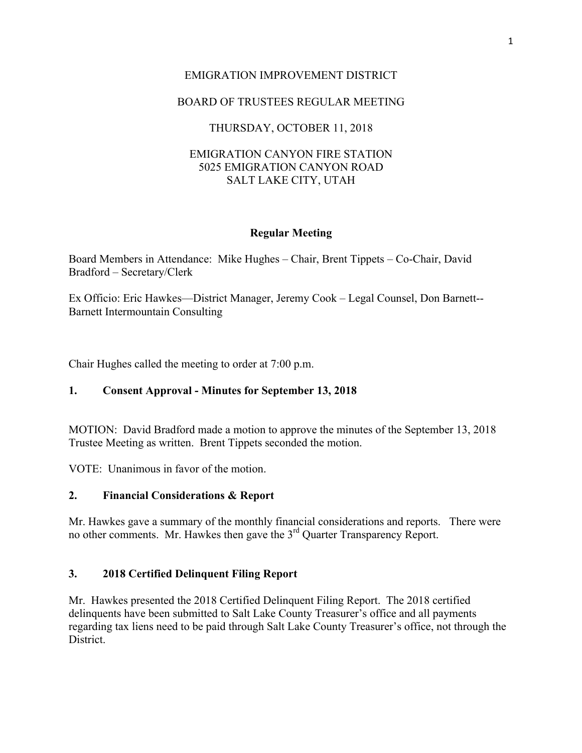## EMIGRATION IMPROVEMENT DISTRICT

# BOARD OF TRUSTEES REGULAR MEETING

# THURSDAY, OCTOBER 11, 2018

### EMIGRATION CANYON FIRE STATION 5025 EMIGRATION CANYON ROAD SALT LAKE CITY, UTAH

### **Regular Meeting**

Board Members in Attendance: Mike Hughes – Chair, Brent Tippets – Co-Chair, David Bradford – Secretary/Clerk

Ex Officio: Eric Hawkes—District Manager, Jeremy Cook – Legal Counsel, Don Barnett-- Barnett Intermountain Consulting

Chair Hughes called the meeting to order at 7:00 p.m.

## **1. Consent Approval - Minutes for September 13, 2018**

MOTION: David Bradford made a motion to approve the minutes of the September 13, 2018 Trustee Meeting as written. Brent Tippets seconded the motion.

VOTE: Unanimous in favor of the motion.

## **2. Financial Considerations & Report**

Mr. Hawkes gave a summary of the monthly financial considerations and reports. There were no other comments. Mr. Hawkes then gave the 3rd Quarter Transparency Report.

## **3. 2018 Certified Delinquent Filing Report**

Mr. Hawkes presented the 2018 Certified Delinquent Filing Report. The 2018 certified delinquents have been submitted to Salt Lake County Treasurer's office and all payments regarding tax liens need to be paid through Salt Lake County Treasurer's office, not through the District.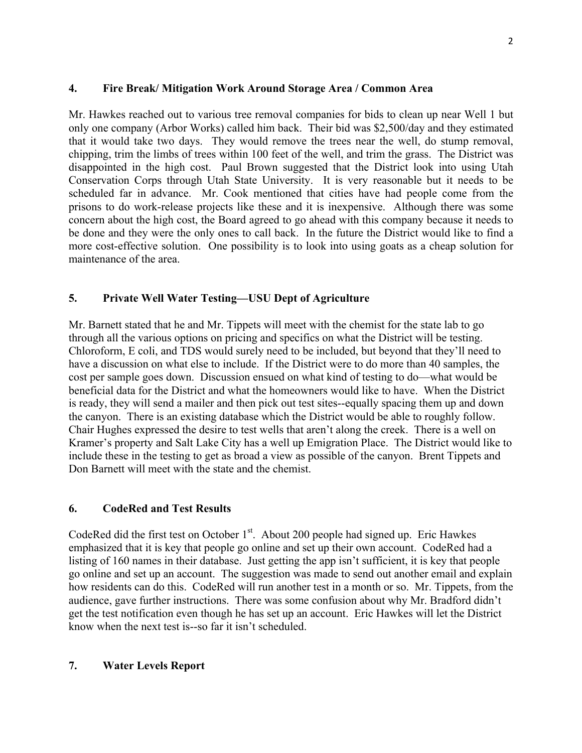### **4. Fire Break/ Mitigation Work Around Storage Area / Common Area**

Mr. Hawkes reached out to various tree removal companies for bids to clean up near Well 1 but only one company (Arbor Works) called him back. Their bid was \$2,500/day and they estimated that it would take two days. They would remove the trees near the well, do stump removal, chipping, trim the limbs of trees within 100 feet of the well, and trim the grass. The District was disappointed in the high cost. Paul Brown suggested that the District look into using Utah Conservation Corps through Utah State University. It is very reasonable but it needs to be scheduled far in advance. Mr. Cook mentioned that cities have had people come from the prisons to do work-release projects like these and it is inexpensive. Although there was some concern about the high cost, the Board agreed to go ahead with this company because it needs to be done and they were the only ones to call back. In the future the District would like to find a more cost-effective solution. One possibility is to look into using goats as a cheap solution for maintenance of the area.

## **5. Private Well Water Testing—USU Dept of Agriculture**

Mr. Barnett stated that he and Mr. Tippets will meet with the chemist for the state lab to go through all the various options on pricing and specifics on what the District will be testing. Chloroform, E coli, and TDS would surely need to be included, but beyond that they'll need to have a discussion on what else to include. If the District were to do more than 40 samples, the cost per sample goes down. Discussion ensued on what kind of testing to do—what would be beneficial data for the District and what the homeowners would like to have. When the District is ready, they will send a mailer and then pick out test sites--equally spacing them up and down the canyon. There is an existing database which the District would be able to roughly follow. Chair Hughes expressed the desire to test wells that aren't along the creek. There is a well on Kramer's property and Salt Lake City has a well up Emigration Place. The District would like to include these in the testing to get as broad a view as possible of the canyon. Brent Tippets and Don Barnett will meet with the state and the chemist.

## **6. CodeRed and Test Results**

CodeRed did the first test on October  $1<sup>st</sup>$ . About 200 people had signed up. Eric Hawkes emphasized that it is key that people go online and set up their own account. CodeRed had a listing of 160 names in their database. Just getting the app isn't sufficient, it is key that people go online and set up an account. The suggestion was made to send out another email and explain how residents can do this. CodeRed will run another test in a month or so. Mr. Tippets, from the audience, gave further instructions. There was some confusion about why Mr. Bradford didn't get the test notification even though he has set up an account. Eric Hawkes will let the District know when the next test is--so far it isn't scheduled.

## **7. Water Levels Report**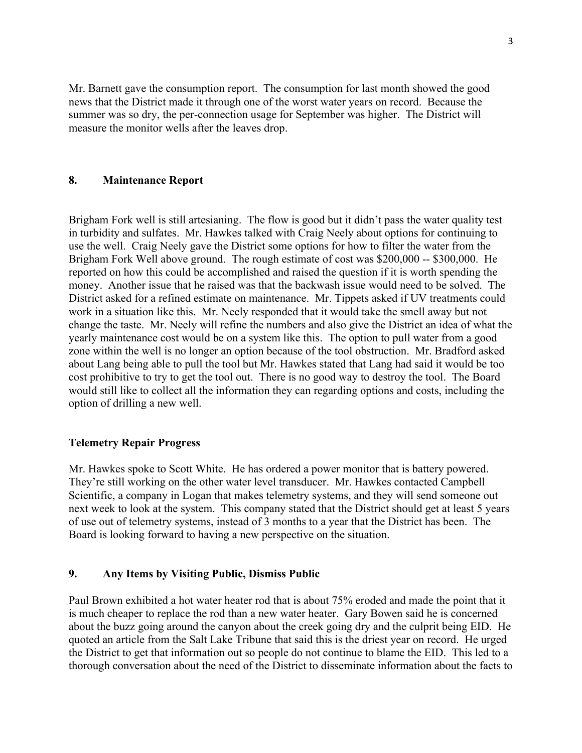Mr. Barnett gave the consumption report. The consumption for last month showed the good news that the District made it through one of the worst water years on record. Because the summer was so dry, the per-connection usage for September was higher. The District will measure the monitor wells after the leaves drop.

#### **8. Maintenance Report**

Brigham Fork well is still artesianing. The flow is good but it didn't pass the water quality test in turbidity and sulfates. Mr. Hawkes talked with Craig Neely about options for continuing to use the well. Craig Neely gave the District some options for how to filter the water from the Brigham Fork Well above ground. The rough estimate of cost was \$200,000 -- \$300,000. He reported on how this could be accomplished and raised the question if it is worth spending the money. Another issue that he raised was that the backwash issue would need to be solved. The District asked for a refined estimate on maintenance. Mr. Tippets asked if UV treatments could work in a situation like this. Mr. Neely responded that it would take the smell away but not change the taste. Mr. Neely will refine the numbers and also give the District an idea of what the yearly maintenance cost would be on a system like this. The option to pull water from a good zone within the well is no longer an option because of the tool obstruction. Mr. Bradford asked about Lang being able to pull the tool but Mr. Hawkes stated that Lang had said it would be too cost prohibitive to try to get the tool out. There is no good way to destroy the tool. The Board would still like to collect all the information they can regarding options and costs, including the option of drilling a new well.

#### **Telemetry Repair Progress**

Mr. Hawkes spoke to Scott White. He has ordered a power monitor that is battery powered. They're still working on the other water level transducer. Mr. Hawkes contacted Campbell Scientific, a company in Logan that makes telemetry systems, and they will send someone out next week to look at the system. This company stated that the District should get at least 5 years of use out of telemetry systems, instead of 3 months to a year that the District has been. The Board is looking forward to having a new perspective on the situation.

#### **9. Any Items by Visiting Public, Dismiss Public**

Paul Brown exhibited a hot water heater rod that is about 75% eroded and made the point that it is much cheaper to replace the rod than a new water heater. Gary Bowen said he is concerned about the buzz going around the canyon about the creek going dry and the culprit being EID. He quoted an article from the Salt Lake Tribune that said this is the driest year on record. He urged the District to get that information out so people do not continue to blame the EID. This led to a thorough conversation about the need of the District to disseminate information about the facts to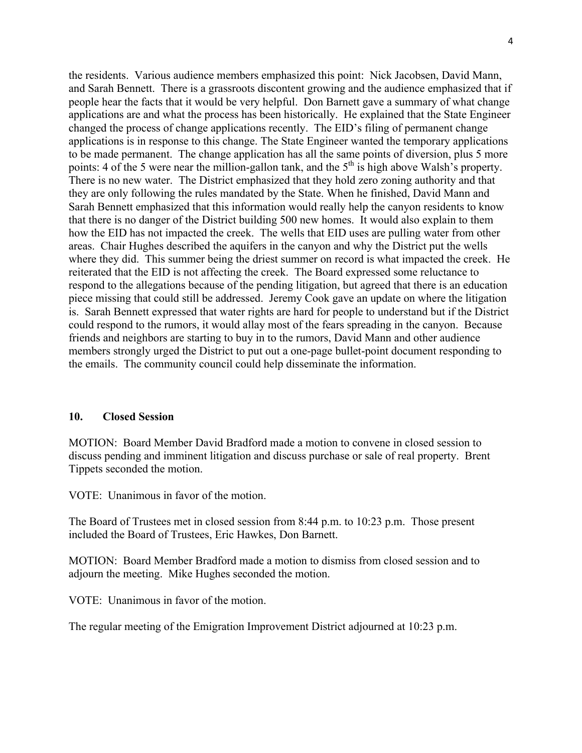the residents. Various audience members emphasized this point: Nick Jacobsen, David Mann, and Sarah Bennett. There is a grassroots discontent growing and the audience emphasized that if people hear the facts that it would be very helpful. Don Barnett gave a summary of what change applications are and what the process has been historically. He explained that the State Engineer changed the process of change applications recently. The EID's filing of permanent change applications is in response to this change. The State Engineer wanted the temporary applications to be made permanent. The change application has all the same points of diversion, plus 5 more points: 4 of the 5 were near the million-gallon tank, and the 5<sup>th</sup> is high above Walsh's property. There is no new water. The District emphasized that they hold zero zoning authority and that they are only following the rules mandated by the State. When he finished, David Mann and Sarah Bennett emphasized that this information would really help the canyon residents to know that there is no danger of the District building 500 new homes. It would also explain to them how the EID has not impacted the creek. The wells that EID uses are pulling water from other areas. Chair Hughes described the aquifers in the canyon and why the District put the wells where they did. This summer being the driest summer on record is what impacted the creek. He reiterated that the EID is not affecting the creek. The Board expressed some reluctance to respond to the allegations because of the pending litigation, but agreed that there is an education piece missing that could still be addressed. Jeremy Cook gave an update on where the litigation is. Sarah Bennett expressed that water rights are hard for people to understand but if the District could respond to the rumors, it would allay most of the fears spreading in the canyon. Because friends and neighbors are starting to buy in to the rumors, David Mann and other audience members strongly urged the District to put out a one-page bullet-point document responding to the emails. The community council could help disseminate the information.

#### **10. Closed Session**

MOTION: Board Member David Bradford made a motion to convene in closed session to discuss pending and imminent litigation and discuss purchase or sale of real property. Brent Tippets seconded the motion.

VOTE: Unanimous in favor of the motion.

The Board of Trustees met in closed session from 8:44 p.m. to 10:23 p.m. Those present included the Board of Trustees, Eric Hawkes, Don Barnett.

MOTION: Board Member Bradford made a motion to dismiss from closed session and to adjourn the meeting. Mike Hughes seconded the motion.

VOTE: Unanimous in favor of the motion.

The regular meeting of the Emigration Improvement District adjourned at 10:23 p.m.